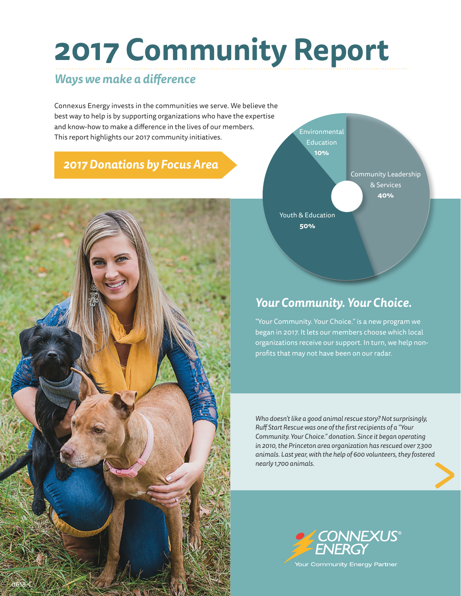# **2017 Community Report**

#### *Ways we make a difference*

Connexus Energy invests in the communities we serve. We believe the best way to help is by supporting organizations who have the expertise and know-how to make a difference in the lives of our members. This report highlights our 2017 community initiatives.

### *2017 Donations by Focus Area*





### *Your Community. Your Choice.*

"Your Community. Your Choice." is a new program we began in 2017. It lets our members choose which local organizations receive our support. In turn, we help nonprofits that may not have been on our radar.

ed<br>
and the contract of the contract of the contract of the contract of the contract of the contract of the contract of the contract of the contract of the contract of the contract of the contract of the contract of the co *Who doesn't like a good animal rescue story? Not surprisingly, Ruff Start Rescue was one of the first recipients of a "Your Community. Your Choice." donation. Since it began operating in 2010, the Princeton area organization has rescued over 7,300 animals. Last year, with the help of 600 volunteers, they fostered nearly 1,700 animals.*

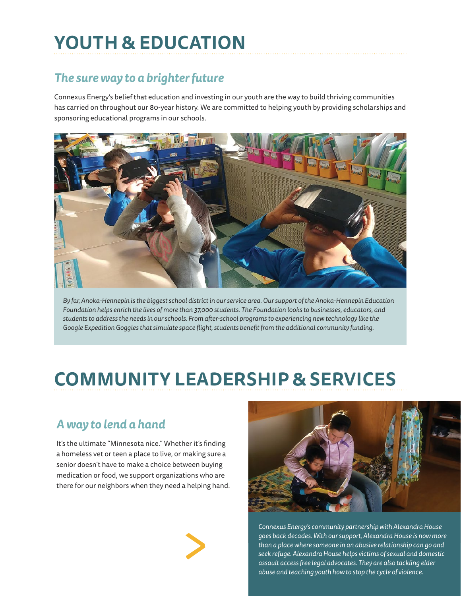# **YOUTH & EDUCATION**

### *The sure way to a brighter future*

Connexus Energy's belief that education and investing in our youth are the way to build thriving communities has carried on throughout our 80-year history. We are committed to helping youth by providing scholarships and sponsoring educational programs in our schools.



*By far, Anoka-Hennepin is the biggest school district in our service area. Our support of the Anoka-Hennepin Education Foundation helps enrich the lives of more than 37,000 students. The Foundation looks to businesses, educators, and students to address the needs in our schools. From after-school programs to experiencing new technology like the Google Expedition Goggles that simulate space flight, students benefit from the additional community funding.* 

## **COMMUNITY LEADERSHIP & SERVICES**

### *A way to lend a hand*

It's the ultimate "Minnesota nice." Whether it's finding a homeless vet or teen a place to live, or making sure a senior doesn't have to make a choice between buying medication or food, we support organizations who are there for our neighbors when they need a helping hand.





*Connexus Energy's community partnership with Alexandra House goes back decades. With our support, Alexandra House is now more than a place where someone in an abusive relationship can go and seek refuge. Alexandra House helps victims of sexual and domestic assault access free legal advocates. They are also tackling elder abuse and teaching youth how to stop the cycle of violence.*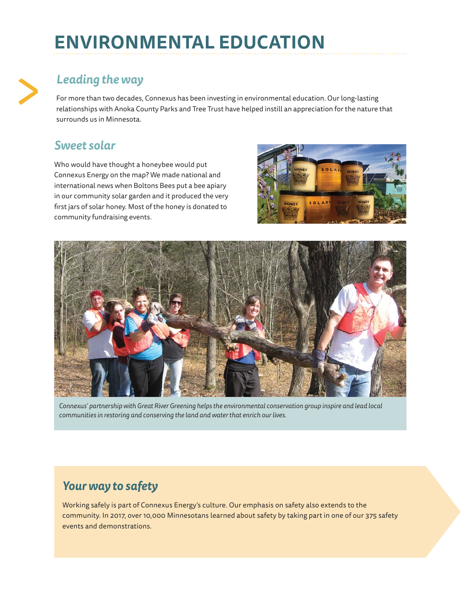# **ENVIRONMENTAL EDUCATION**

### *Leading the way*

For more than two decades, Connexus has been investing in environmental education. Our long-lasting relationships with Anoka County Parks and Tree Trust have helped instill an appreciation for the nature that surrounds us in Minnesota.

#### *Sweet solar*

>

Who would have thought a honeybee would put Connexus Energy on the map? We made national and international news when Boltons Bees put a bee apiary in our community solar garden and it produced the very first jars of solar honey. Most of the honey is donated to community fundraising events.





*Connexus' partnership with Great River Greening helps the environmental conservation group inspire and lead local communities in restoring and conserving the land and water that enrich our lives.* 

#### *Your way to safety*

Working safely is part of Connexus Energy's culture. Our emphasis on safety also extends to the community. In 2017, over 10,000 Minnesotans learned about safety by taking part in one of our 375 safety events and demonstrations.